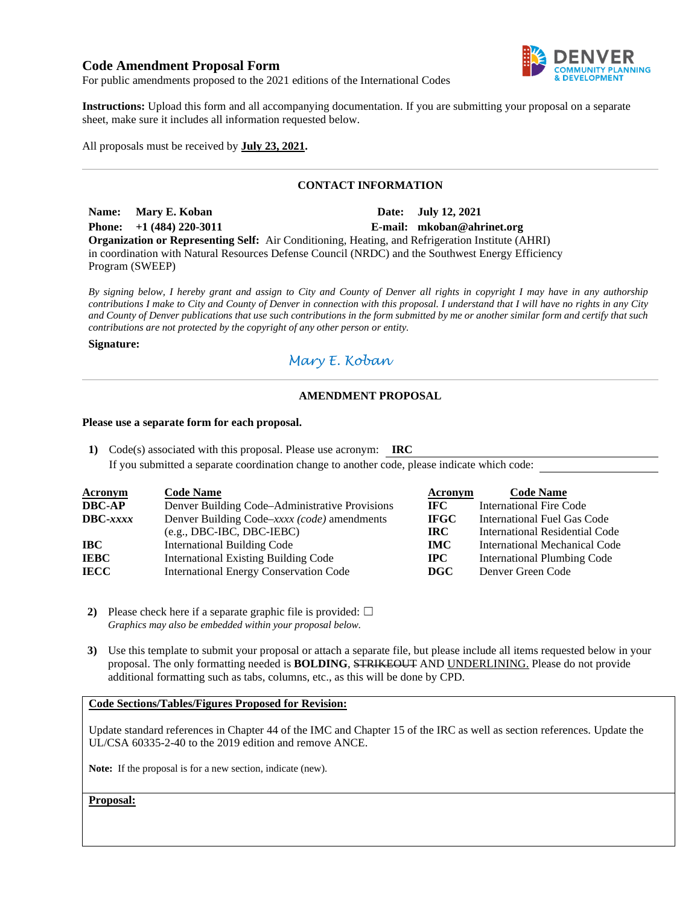### **Code Amendment Proposal Form**



For public amendments proposed to the 2021 editions of the International Codes

**Instructions:** Upload this form and all accompanying documentation. If you are submitting your proposal on a separate sheet, make sure it includes all information requested below.

All proposals must be received by **July 23, 2021.** 

### **CONTACT INFORMATION**

Name: Mary E. Koban **Date: July 12, 2021 Phone: +1 (484) 220-3011 E-mail: mkoban@ahrinet.org Organization or Representing Self:** Air Conditioning, Heating, and Refrigeration Institute (AHRI) in coordination with Natural Resources Defense Council (NRDC) and the Southwest Energy Efficiency Program (SWEEP)

*By signing below, I hereby grant and assign to City and County of Denver all rights in copyright I may have in any authorship contributions I make to City and County of Denver in connection with this proposal. I understand that I will have no rights in any City and County of Denver publications that use such contributions in the form submitted by me or another similar form and certify that such contributions are not protected by the copyright of any other person or entity.* 

#### **Signature:**

# *Mary E. Koban*

### **AMENDMENT PROPOSAL**

#### **Please use a separate form for each proposal.**

**1)** Code(s) associated with this proposal. Please use acronym: **IRC**  If you submitted a separate coordination change to another code, please indicate which code:

| <b>Acronym</b>    | <b>Code Name</b>                               | Acronym     | <b>Code Name</b>                   |
|-------------------|------------------------------------------------|-------------|------------------------------------|
| <b>DBC-AP</b>     | Denver Building Code–Administrative Provisions | IFC.        | <b>International Fire Code</b>     |
| $\text{DBC-}xxxx$ | Denver Building Code–xxxx (code) amendments    | <b>IFGC</b> | International Fuel Gas Code        |
|                   | $(e.g., DBC-IBC, DBC-IEBC)$                    | IRC.        | International Residential Code     |
| IBC-              | <b>International Building Code</b>             | <b>IMC</b>  | International Mechanical Code      |
| <b>IEBC</b>       | <b>International Existing Building Code</b>    | $\bf IPC$   | <b>International Plumbing Code</b> |
| <b>IECC</b>       | <b>International Energy Conservation Code</b>  | DGC         | Denver Green Code                  |

- **2)** Please check here if a separate graphic file is provided:  $\Box$ *Graphics may also be embedded within your proposal below.*
- **3)** Use this template to submit your proposal or attach a separate file, but please include all items requested below in your proposal. The only formatting needed is **BOLDING**, STRIKEOUT AND UNDERLINING. Please do not provide additional formatting such as tabs, columns, etc., as this will be done by CPD.

### **Code Sections/Tables/Figures Proposed for Revision:**

Update standard references in Chapter 44 of the IMC and Chapter 15 of the IRC as well as section references. Update the UL/CSA 60335-2-40 to the 2019 edition and remove ANCE.

**Note:** If the proposal is for a new section, indicate (new).

**Proposal:**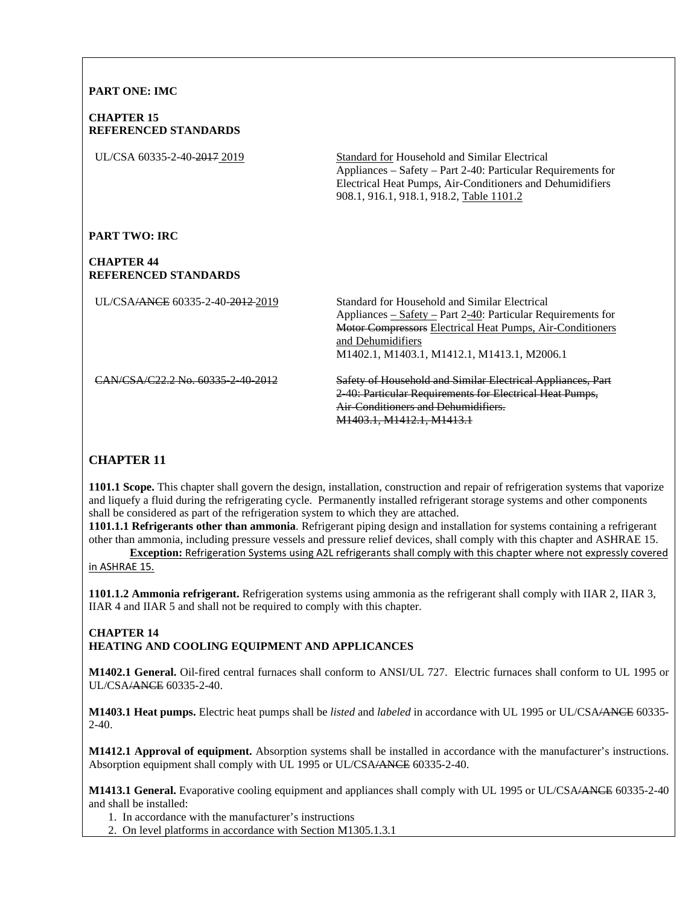## **PART ONE: IMC**

#### **CHAPTER 15 REFERENCED STANDARDS**

UL/CSA 60335-2-40-2017 2019 Standard for Household and Similar Electrical Appliances – Safety – Part 2-40: Particular Requirements for Electrical Heat Pumps, Air-Conditioners and Dehumidifiers 908.1, 916.1, 918.1, 918.2, Table 1101.2

#### **PART TWO: IRC**

### **CHAPTER 44 REFERENCED STANDARDS**

UL/CSA/ANCE 60335-2-40-2012 2019

Standard for Household and Similar Electrical Appliances – Safety – Part 2-40: Particular Requirements for Motor Compressors Electrical Heat Pumps, Air-Conditioners and Dehumidifiers M1402.1, M1403.1, M1412.1, M1413.1, M2006.1

CAN/CSA/C22.2 No. 60335-2-40-2012

Safety of Household and Similar Electrical Appliances, Part 2-40: Particular Requirements for Electrical Heat Pumps, Air-Conditioners and Dehumidifiers. M1403.1, M1412.1, M1413.1

# **CHAPTER 11**

**1101.1 Scope.** This chapter shall govern the design, installation, construction and repair of refrigeration systems that vaporize and liquefy a fluid during the refrigerating cycle. Permanently installed refrigerant storage systems and other components shall be considered as part of the refrigeration system to which they are attached.

**1101.1.1 Refrigerants other than ammonia**. Refrigerant piping design and installation for systems containing a refrigerant other than ammonia, including pressure vessels and pressure relief devices, shall comply with this chapter and ASHRAE 15.

**Exception:** Refrigeration Systems using A2L refrigerants shall comply with this chapter where not expressly covered in ASHRAE 15.

**1101.1.2 Ammonia refrigerant.** Refrigeration systems using ammonia as the refrigerant shall comply with IIAR 2, IIAR 3, IIAR 4 and IIAR 5 and shall not be required to comply with this chapter.

## **CHAPTER 14 HEATING AND COOLING EQUIPMENT AND APPLICANCES**

**M1402.1 General.** Oil-fired central furnaces shall conform to ANSI/UL 727. Electric furnaces shall conform to UL 1995 or UL/CSA/ANCE 60335-2-40.

**M1403.1 Heat pumps.** Electric heat pumps shall be *listed* and *labeled* in accordance with UL 1995 or UL/CSA/ANCE 60335-  $2-40.$ 

**M1412.1 Approval of equipment.** Absorption systems shall be installed in accordance with the manufacturer's instructions. Absorption equipment shall comply with UL 1995 or UL/CSA/ANCE 60335-2-40.

**M1413.1 General.** Evaporative cooling equipment and appliances shall comply with UL 1995 or UL/CSA/ANCE 60335-2-40 and shall be installed:

1. In accordance with the manufacturer's instructions

2. On level platforms in accordance with Section M1305.1.3.1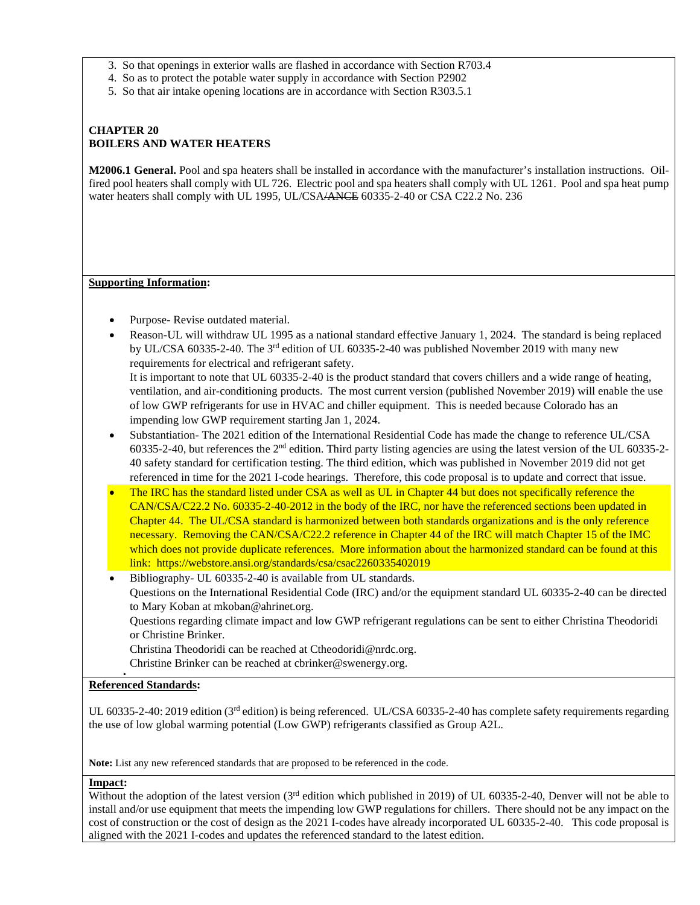- 3. So that openings in exterior walls are flashed in accordance with Section R703.4
- 4. So as to protect the potable water supply in accordance with Section P2902
- 5. So that air intake opening locations are in accordance with Section R303.5.1

## **CHAPTER 20 BOILERS AND WATER HEATERS**

**M2006.1 General.** Pool and spa heaters shall be installed in accordance with the manufacturer's installation instructions. Oilfired pool heaters shall comply with UL 726. Electric pool and spa heaters shall comply with UL 1261. Pool and spa heat pump water heaters shall comply with UL 1995, UL/CSA/ANCE 60335-2-40 or CSA C22.2 No. 236

#### **Supporting Information:**

- Purpose- Revise outdated material.
- Reason-UL will withdraw UL 1995 as a national standard effective January 1, 2024. The standard is being replaced by UL/CSA 60335-2-40. The 3rd edition of UL 60335-2-40 was published November 2019 with many new requirements for electrical and refrigerant safety. It is important to note that UL 60335-2-40 is the product standard that covers chillers and a wide range of heating,

ventilation, and air-conditioning products. The most current version (published November 2019) will enable the use of low GWP refrigerants for use in HVAC and chiller equipment. This is needed because Colorado has an impending low GWP requirement starting Jan 1, 2024.

- Substantiation- The 2021 edition of the International Residential Code has made the change to reference UL/CSA 60335-2-40, but references the  $2<sup>nd</sup>$  edition. Third party listing agencies are using the latest version of the UL 60335-2-40 safety standard for certification testing. The third edition, which was published in November 2019 did not get referenced in time for the 2021 I-code hearings. Therefore, this code proposal is to update and correct that issue.
- The IRC has the standard listed under CSA as well as UL in Chapter 44 but does not specifically reference the CAN/CSA/C22.2 No. 60335-2-40-2012 in the body of the IRC, nor have the referenced sections been updated in Chapter 44. The UL/CSA standard is harmonized between both standards organizations and is the only reference necessary. Removing the CAN/CSA/C22.2 reference in Chapter 44 of the IRC will match Chapter 15 of the IMC which does not provide duplicate references. More information about the harmonized standard can be found at this link: https://webstore.ansi.org/standards/csa/csac2260335402019

 Bibliography- UL 60335-2-40 is available from UL standards. Questions on the International Residential Code (IRC) and/or the equipment standard UL 60335-2-40 can be directed to Mary Koban at mkoban@ahrinet.org. Questions regarding climate impact and low GWP refrigerant regulations can be sent to either Christina Theodoridi or Christine Brinker.

Christina Theodoridi can be reached at Ctheodoridi@nrdc.org.

Christine Brinker can be reached at cbrinker@swenergy.org.

#### **Referenced Standards:**

.

UL 60335-2-40: 2019 edition ( $3<sup>rd</sup>$  edition) is being referenced. UL/CSA 60335-2-40 has complete safety requirements regarding the use of low global warming potential (Low GWP) refrigerants classified as Group A2L.

**Note:** List any new referenced standards that are proposed to be referenced in the code.

#### **Impact:**

Without the adoption of the latest version  $3^{rd}$  edition which published in 2019) of UL 60335-2-40. Denver will not be able to install and/or use equipment that meets the impending low GWP regulations for chillers. There should not be any impact on the cost of construction or the cost of design as the 2021 I-codes have already incorporated UL 60335-2-40. This code proposal is aligned with the 2021 I-codes and updates the referenced standard to the latest edition.